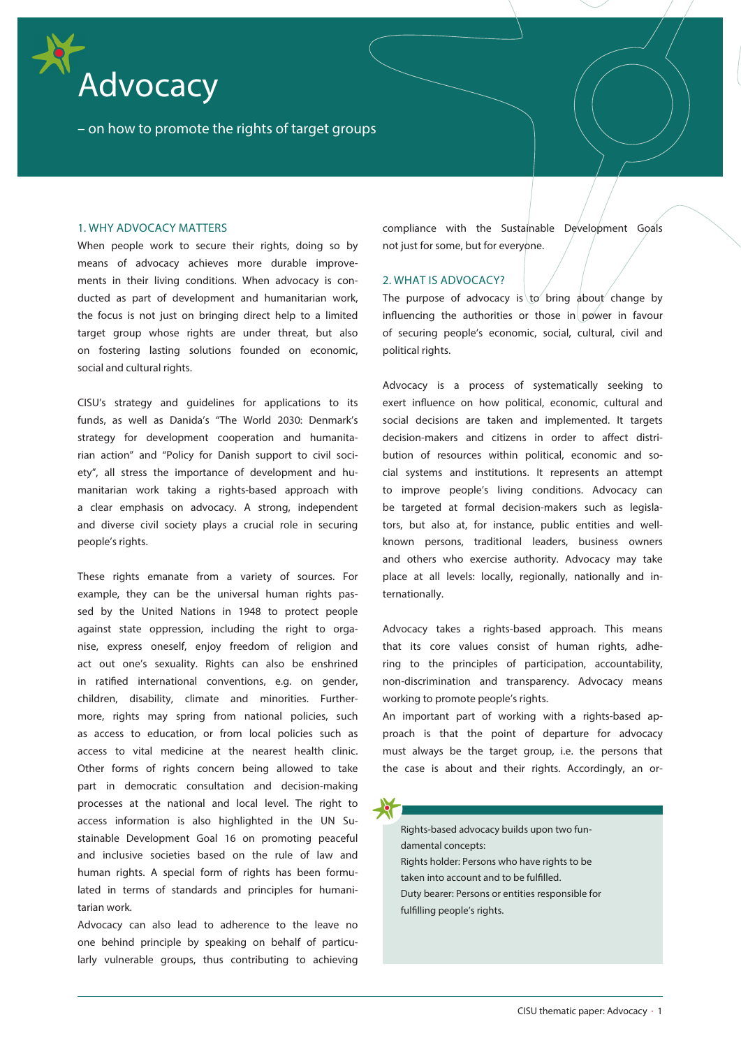

– on how to promote the rights of target groups

### 1. WHY ADVOCACY MATTERS

When people work to secure their rights, doing so by means of advocacy achieves more durable improvements in their living conditions. When advocacy is conducted as part of development and humanitarian work, the focus is not just on bringing direct help to a limited target group whose rights are under threat, but also on fostering lasting solutions founded on economic, social and cultural rights.

CISU's strategy and guidelines for applications to its funds, as well as Danida's "The World 2030: Denmark's strategy for development cooperation and humanitarian action" and "Policy for Danish support to civil society", all stress the importance of development and humanitarian work taking a rights-based approach with a clear emphasis on advocacy. A strong, independent and diverse civil society plays a crucial role in securing people's rights.

These rights emanate from a variety of sources. For example, they can be the universal human rights passed by the United Nations in 1948 to protect people against state oppression, including the right to organise, express oneself, enjoy freedom of religion and act out one's sexuality. Rights can also be enshrined in ratified international conventions, e.g. on gender, children, disability, climate and minorities. Furthermore, rights may spring from national policies, such as access to education, or from local policies such as access to vital medicine at the nearest health clinic. Other forms of rights concern being allowed to take part in democratic consultation and decision-making processes at the national and local level. The right to access information is also highlighted in the UN Sustainable Development Goal 16 on promoting peaceful and inclusive societies based on the rule of law and human rights. A special form of rights has been formulated in terms of standards and principles for humanitarian work.

Advocacy can also lead to adherence to the leave no one behind principle by speaking on behalf of particularly vulnerable groups, thus contributing to achieving compliance with the Sustainable Development Goals not just for some, but for everyone.

## 2. WHAT IS ADVOCACY?

The purpose of advocacy is to bring about change by influencing the authorities or those in power in favour of securing people's economic, social, cultural, civil and political rights.

Advocacy is a process of systematically seeking to exert influence on how political, economic, cultural and social decisions are taken and implemented. It targets decision-makers and citizens in order to affect distribution of resources within political, economic and social systems and institutions. It represents an attempt to improve people's living conditions. Advocacy can be targeted at formal decision-makers such as legislators, but also at, for instance, public entities and wellknown persons, traditional leaders, business owners and others who exercise authority. Advocacy may take place at all levels: locally, regionally, nationally and internationally.

Advocacy takes a rights-based approach. This means that its core values consist of human rights, adhering to the principles of participation, accountability, non-discrimination and transparency. Advocacy means working to promote people's rights.

An important part of working with a rights-based approach is that the point of departure for advocacy must always be the target group, i.e. the persons that the case is about and their rights. Accordingly, an or-

Rights-based advocacy builds upon two fundamental concepts: Rights holder: Persons who have rights to be taken into account and to be fulfilled. Duty bearer: Persons or entities responsible for fulfilling people's rights.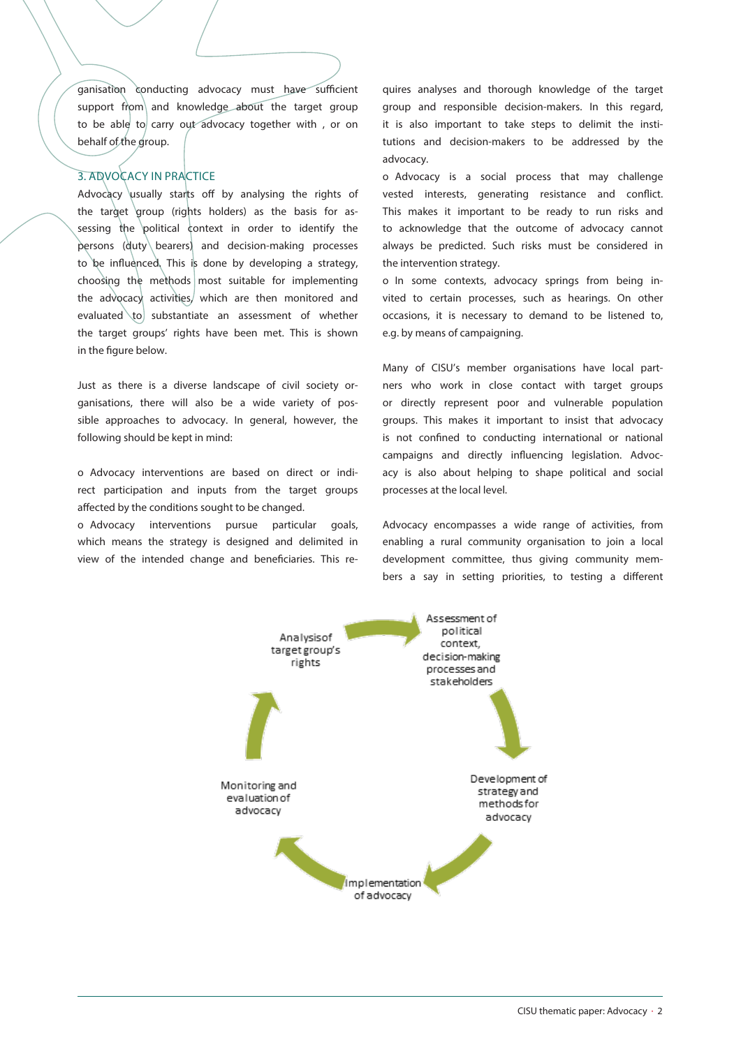ganisation conducting advocacy must have sufficient support from and knowledge about the target group to be able to carry out advocacy together with, or on behalf of the group.

# 3. ADVOCACY IN PRACTICE

Advocacy usually starts off by analysing the rights of the target group (rights holders) as the basis for assessing the political context in order to identify the persons (duty bearers) and decision-making processes to be influenced. This is done by developing a strategy, choosing the methods most suitable for implementing the advocacy activities, which are then monitored and evaluated  $\to$  substantiate an assessment of whether the target groups' rights have been met. This is shown in the figure below.

Just as there is a diverse landscape of civil society organisations, there will also be a wide variety of possible approaches to advocacy. In general, however, the following should be kept in mind:

o Advocacy interventions are based on direct or indirect participation and inputs from the target groups affected by the conditions sought to be changed.

o Advocacy interventions pursue particular goals, which means the strategy is designed and delimited in view of the intended change and beneficiaries. This re-

quires analyses and thorough knowledge of the target group and responsible decision-makers. In this regard, it is also important to take steps to delimit the institutions and decision-makers to be addressed by the advocacy.

o Advocacy is a social process that may challenge vested interests, generating resistance and conflict. This makes it important to be ready to run risks and to acknowledge that the outcome of advocacy cannot always be predicted. Such risks must be considered in the intervention strategy.

o In some contexts, advocacy springs from being invited to certain processes, such as hearings. On other occasions, it is necessary to demand to be listened to, e.g. by means of campaigning.

Many of CISU's member organisations have local partners who work in close contact with target groups or directly represent poor and vulnerable population groups. This makes it important to insist that advocacy is not confined to conducting international or national campaigns and directly influencing legislation. Advocacy is also about helping to shape political and social processes at the local level.

Advocacy encompasses a wide range of activities, from enabling a rural community organisation to join a local development committee, thus giving community members a say in setting priorities, to testing a different

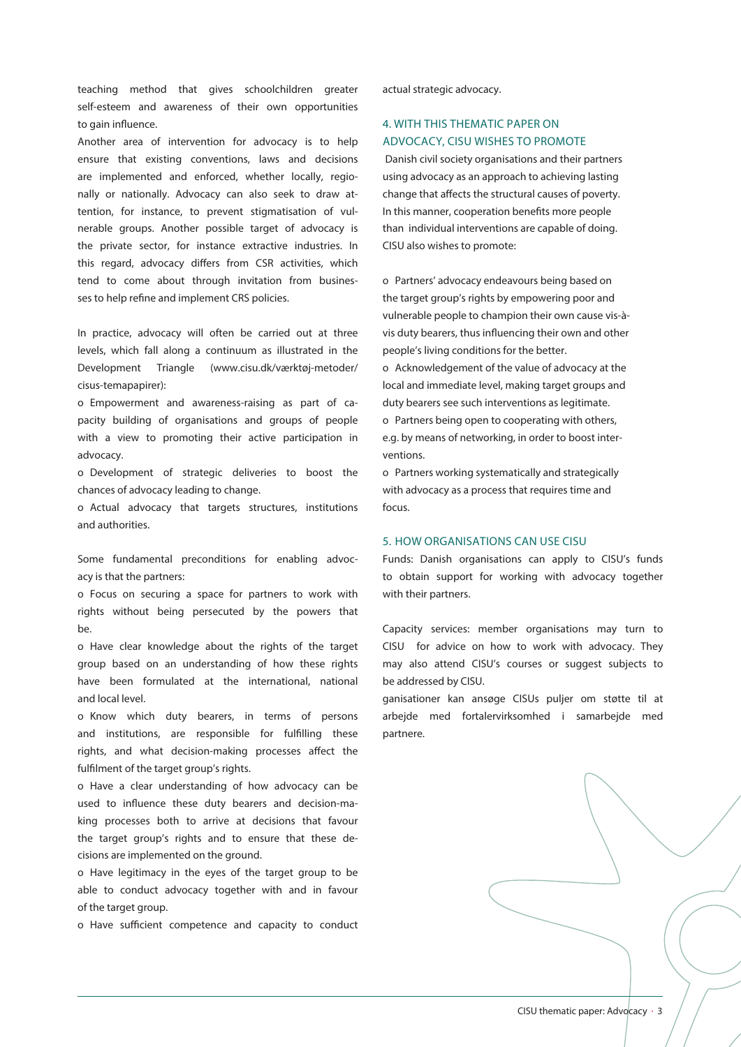teaching method that gives schoolchildren greater self-esteem and awareness of their own opportunities to gain influence.

Another area of intervention for advocacy is to help ensure that existing conventions, laws and decisions are implemented and enforced, whether locally, regionally or nationally. Advocacy can also seek to draw attention, for instance, to prevent stigmatisation of vulnerable groups. Another possible target of advocacy is the private sector, for instance extractive industries. In this regard, advocacy differs from CSR activities, which tend to come about through invitation from businesses to help refine and implement CRS policies.

In practice, advocacy will often be carried out at three levels, which fall along a continuum as illustrated in the Development Triangle (www.cisu.dk/værktøj-metoder/ cisus-temapapirer):

o Empowerment and awareness-raising as part of capacity building of organisations and groups of people with a view to promoting their active participation in advocacy.

o Development of strategic deliveries to boost the chances of advocacy leading to change.

o Actual advocacy that targets structures, institutions and authorities.

Some fundamental preconditions for enabling advocacy is that the partners:

o Focus on securing a space for partners to work with rights without being persecuted by the powers that be.

o Have clear knowledge about the rights of the target group based on an understanding of how these rights have been formulated at the international, national and local level.

o Know which duty bearers, in terms of persons and institutions, are responsible for fulfilling these rights, and what decision-making processes affect the fulfilment of the target group's rights.

o Have a clear understanding of how advocacy can be used to influence these duty bearers and decision-making processes both to arrive at decisions that favour the target group's rights and to ensure that these decisions are implemented on the ground.

o Have legitimacy in the eyes of the target group to be able to conduct advocacy together with and in favour of the target group.

o Have sufficient competence and capacity to conduct

actual strategic advocacy.

# 4. WITH THIS THEMATIC PAPER ON ADVOCACY, CISU WISHES TO PROMOTE

Danish civil society organisations and their partners using advocacy as an approach to achieving lasting change that affects the structural causes of poverty. In this manner, cooperation benefits more people than individual interventions are capable of doing. CISU also wishes to promote:

o Partners' advocacy endeavours being based on the target group's rights by empowering poor and vulnerable people to champion their own cause vis-àvis duty bearers, thus influencing their own and other people's living conditions for the better.

o Acknowledgement of the value of advocacy at the local and immediate level, making target groups and duty bearers see such interventions as legitimate. o Partners being open to cooperating with others,

e.g. by means of networking, in order to boost interventions.

o Partners working systematically and strategically with advocacy as a process that requires time and focus.

### 5. HOW ORGANISATIONS CAN USE CISU

Funds: Danish organisations can apply to CISU's funds to obtain support for working with advocacy together with their partners.

Capacity services: member organisations may turn to CISU for advice on how to work with advocacy. They may also attend CISU's courses or suggest subjects to be addressed by CISU.

ganisationer kan ansøge CISUs puljer om støtte til at arbejde med fortalervirksomhed i samarbejde med partnere.